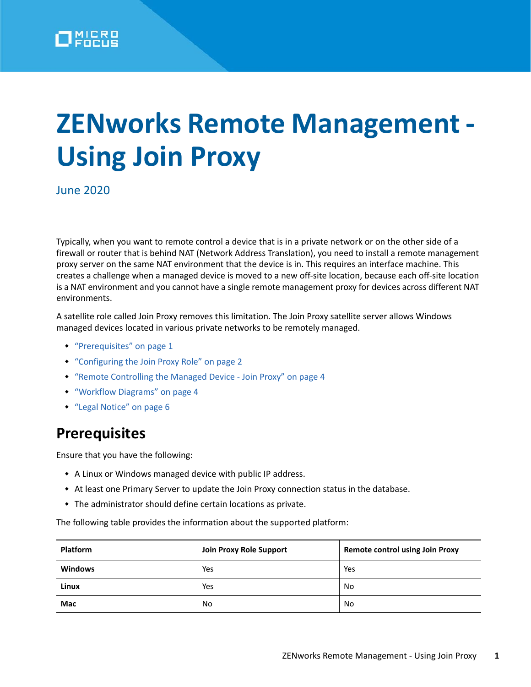# **ZENworks Remote Management - Using Join Proxy**

June 2020

Typically, when you want to remote control a device that is in a private network or on the other side of a firewall or router that is behind NAT (Network Address Translation), you need to install a remote management proxy server on the same NAT environment that the device is in. This requires an interface machine. This creates a challenge when a managed device is moved to a new off-site location, because each off-site location is a NAT environment and you cannot have a single remote management proxy for devices across different NAT environments.

A satellite role called Join Proxy removes this limitation. The Join Proxy satellite server allows Windows managed devices located in various private networks to be remotely managed.

- ["Prerequisites" on page 1](#page-0-0)
- ["Configuring the Join Proxy Role" on page 2](#page-1-0)
- ["Remote Controlling the Managed Device Join Proxy" on page 4](#page-3-0)
- ["Workflow Diagrams" on page 4](#page-3-1)
- ["Legal Notice" on page 6](#page-5-0)

## <span id="page-0-0"></span>**Prerequisites**

Ensure that you have the following:

- A Linux or Windows managed device with public IP address.
- At least one Primary Server to update the Join Proxy connection status in the database.
- The administrator should define certain locations as private.

The following table provides the information about the supported platform:

| <b>Platform</b> | Join Proxy Role Support | <b>Remote control using Join Proxy</b> |
|-----------------|-------------------------|----------------------------------------|
| <b>Windows</b>  | Yes                     | Yes                                    |
| Linux           | Yes                     | No                                     |
| Mac             | No                      | No                                     |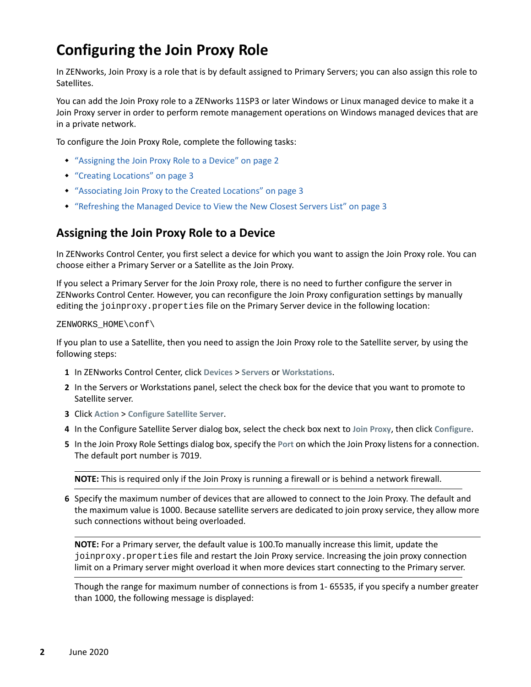# <span id="page-1-0"></span>**Configuring the Join Proxy Role**

In ZENworks, Join Proxy is a role that is by default assigned to Primary Servers; you can also assign this role to Satellites.

You can add the Join Proxy role to a ZENworks 11SP3 or later Windows or Linux managed device to make it a Join Proxy server in order to perform remote management operations on Windows managed devices that are in a private network.

To configure the Join Proxy Role, complete the following tasks:

- ["Assigning the Join Proxy Role to a Device" on page 2](#page-1-1)
- ["Creating Locations" on page 3](#page-2-0)
- ["Associating Join Proxy to the Created Locations" on page 3](#page-2-1)
- ["Refreshing the Managed Device to View the New Closest Servers List" on page 3](#page-2-2)

## <span id="page-1-1"></span>**Assigning the Join Proxy Role to a Device**

In ZENworks Control Center, you first select a device for which you want to assign the Join Proxy role. You can choose either a Primary Server or a Satellite as the Join Proxy.

If you select a Primary Server for the Join Proxy role, there is no need to further configure the server in ZENworks Control Center. However, you can reconfigure the Join Proxy configuration settings by manually editing the joinproxy.properties file on the Primary Server device in the following location:

#### ZENWORKS\_HOME\conf\

If you plan to use a Satellite, then you need to assign the Join Proxy role to the Satellite server, by using the following steps:

- **1** In ZENworks Control Center, click **Devices** > **Servers** or **Workstations**.
- **2** In the Servers or Workstations panel, select the check box for the device that you want to promote to Satellite server.
- **3** Click **Action** > **Configure Satellite Server**.
- **4** In the Configure Satellite Server dialog box, select the check box next to **Join Proxy**, then click **Configure**.
- **5** In the Join Proxy Role Settings dialog box, specify the **Port** on which the Join Proxy listens for a connection. The default port number is 7019.

**NOTE:** This is required only if the Join Proxy is running a firewall or is behind a network firewall.

**6** Specify the maximum number of devices that are allowed to connect to the Join Proxy. The default and the maximum value is 1000. Because satellite servers are dedicated to join proxy service, they allow more such connections without being overloaded.

**NOTE:** For a Primary server, the default value is 100.To manually increase this limit, update the joinproxy.properties file and restart the Join Proxy service. Increasing the join proxy connection limit on a Primary server might overload it when more devices start connecting to the Primary server.

Though the range for maximum number of connections is from 1- 65535, if you specify a number greater than 1000, the following message is displayed: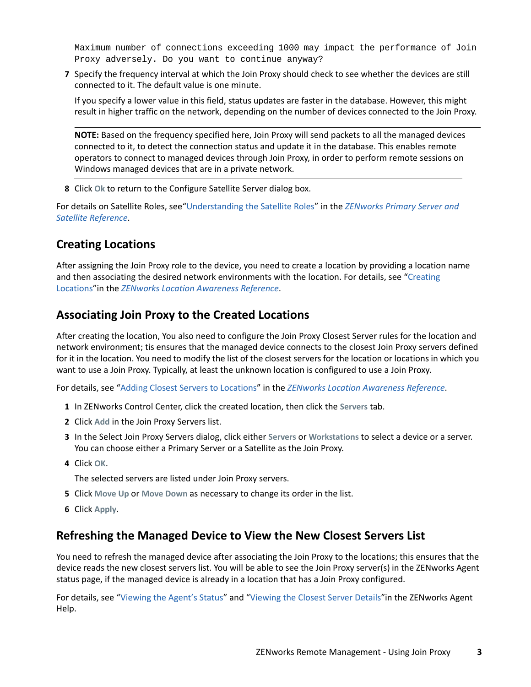Maximum number of connections exceeding 1000 may impact the performance of Join Proxy adversely. Do you want to continue anyway?

**7** Specify the frequency interval at which the Join Proxy should check to see whether the devices are still connected to it. The default value is one minute.

If you specify a lower value in this field, status updates are faster in the database. However, this might result in higher traffic on the network, depending on the number of devices connected to the Join Proxy.

**NOTE:** Based on the frequency specified here, Join Proxy will send packets to all the managed devices connected to it, to detect the connection status and update it in the database. This enables remote operators to connect to managed devices through Join Proxy, in order to perform remote sessions on Windows managed devices that are in a private network.

**8** Click **Ok** to return to the Configure Satellite Server dialog box.

For details on Satellite Roles, see["Understanding the Satellite Roles"](https://www.novell.com/documentation/zenworks-2020/pdfdoc/zen_sys_servers/zen_sys_servers.pdf#be244ir) in the *[ZENworks Primary Server and](https://www.novell.com/documentation/zenworks-2020/pdfdoc/zen_sys_servers/zen_sys_servers.pdf#bookinfo)  [Satellite Reference](https://www.novell.com/documentation/zenworks-2020/pdfdoc/zen_sys_servers/zen_sys_servers.pdf#bookinfo)*.

## <span id="page-2-0"></span>**Creating Locations**

After assigning the Join Proxy role to the device, you need to create a location by providing a location name and then associating the desired network environments with the location. For details, see ["Creating](https://www.novell.com/documentation/zenworks-2020/pdfdoc/zen_sys_location/zen_sys_location.pdf#boul03o)  [Locations](https://www.novell.com/documentation/zenworks-2020/pdfdoc/zen_sys_location/zen_sys_location.pdf#boul03o)"in the *[ZENworks Location Awareness Reference](https://www.novell.com/documentation/zenworks-2020/pdfdoc/zen_sys_location/zen_sys_location.pdf#bookinfo)*.

## <span id="page-2-1"></span>**Associating Join Proxy to the Created Locations**

After creating the location, You also need to configure the Join Proxy Closest Server rules for the location and network environment; tis ensures that the managed device connects to the closest Join Proxy servers defined for it in the location. You need to modify the list of the closest servers for the location or locations in which you want to use a Join Proxy. Typically, at least the unknown location is configured to use a Join Proxy.

For details, see "[Adding Closest Servers to Locations](https://www.novell.com/documentation/zenworks-2020/pdfdoc/zen_sys_location/zen_sys_location.pdf#brwhzl1)" in the *[ZENworks Location Awareness Reference](https://www.novell.com/documentation/zenworks-2020/pdfdoc/zen_sys_location/zen_sys_location.pdf#bookinfo)*.

- **1** In ZENworks Control Center, click the created location, then click the **Servers** tab.
- **2** Click **Add** in the Join Proxy Servers list.
- **3** In the Select Join Proxy Servers dialog, click either **Servers** or **Workstations** to select a device or a server. You can choose either a Primary Server or a Satellite as the Join Proxy.
- **4** Click **OK**.

The selected servers are listed under Join Proxy servers.

- **5** Click **Move Up** or **Move Down** as necessary to change its order in the list.
- **6** Click **Apply**.

#### <span id="page-2-2"></span>**Refreshing the Managed Device to View the New Closest Servers List**

You need to refresh the managed device after associating the Join Proxy to the locations; this ensures that the device reads the new closest servers list. You will be able to see the Join Proxy server(s) in the ZENworks Agent status page, if the managed device is already in a location that has a Join Proxy configured.

For details, see "[Viewing the Agent's Status"](https://www.novell.com/documentation/zenworks-2020/pdfdoc/zen_adaptive_agent/zen_adaptive_agent.pdf#statusviewingtheagentstatus) and ["Viewing the Closest Server Details"](https://www.novell.com/documentation/zenworks-2020/pdfdoc/zen_adaptive_agent/zen_adaptive_agent.pdf#closestserversintro)in the ZENworks Agent Help.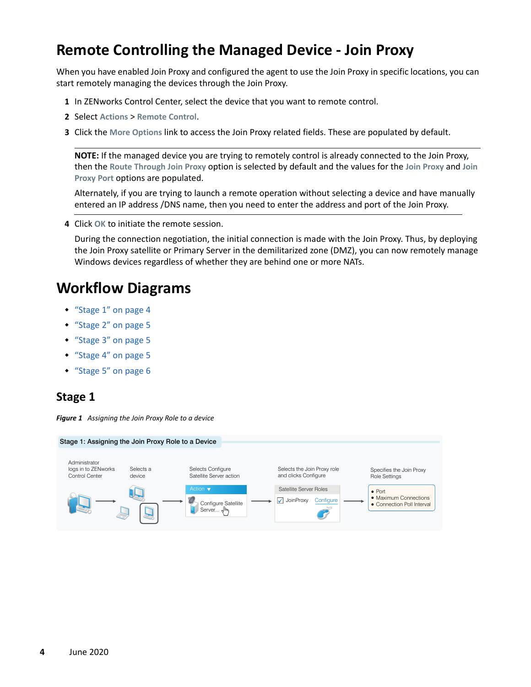## <span id="page-3-0"></span>**Remote Controlling the Managed Device - Join Proxy**

When you have enabled Join Proxy and configured the agent to use the Join Proxy in specific locations, you can start remotely managing the devices through the Join Proxy.

- **1** In ZENworks Control Center, select the device that you want to remote control.
- **2** Select **Actions** > **Remote Control**.
- **3** Click the **More Options** link to access the Join Proxy related fields. These are populated by default.

**NOTE:** If the managed device you are trying to remotely control is already connected to the Join Proxy, then the **Route Through Join Proxy** option is selected by default and the values for the **Join Proxy** and **Join Proxy Port** options are populated.

Alternately, if you are trying to launch a remote operation without selecting a device and have manually entered an IP address /DNS name, then you need to enter the address and port of the Join Proxy.

**4** Click **OK** to initiate the remote session.

During the connection negotiation, the initial connection is made with the Join Proxy. Thus, by deploying the Join Proxy satellite or Primary Server in the demilitarized zone (DMZ), you can now remotely manage Windows devices regardless of whether they are behind one or more NATs.

## <span id="page-3-1"></span>**Workflow Diagrams**

- ["Stage 1" on page 4](#page-3-2)
- ["Stage 2" on page 5](#page-4-0)
- ["Stage 3" on page 5](#page-4-1)
- ["Stage 4" on page 5](#page-4-2)
- ["Stage 5" on page 6](#page-5-1)

#### <span id="page-3-2"></span>**Stage 1**

*Figure 1 Assigning the Join Proxy Role to a device*

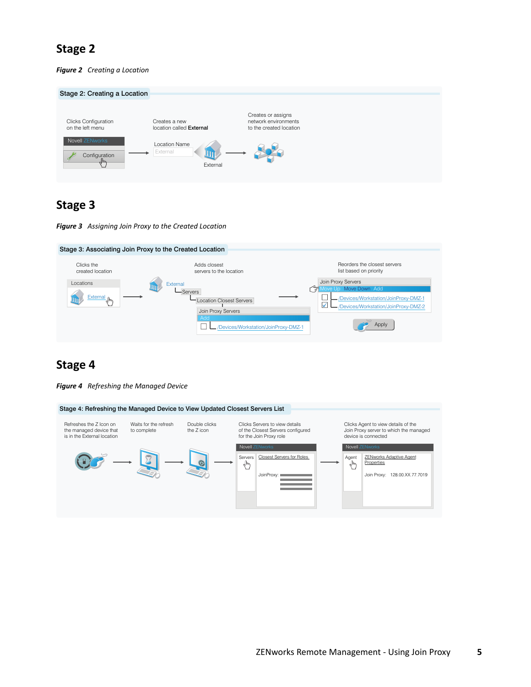## <span id="page-4-0"></span>**Stage 2**

*Figure 2 Creating a Location*

| Stage 2: Creating a Location                    |                                              |                                                                       |
|-------------------------------------------------|----------------------------------------------|-----------------------------------------------------------------------|
| <b>Clicks Configuration</b><br>on the left menu | Creates a new<br>location called External    | Creates or assigns<br>network environments<br>to the created location |
| Novell ZENworks<br>Configuration<br>ø<br>ᆐ      | <b>Location Name</b><br>External<br>External |                                                                       |

#### <span id="page-4-1"></span>**Stage 3**

*Figure 3 Assigning Join Proxy to the Created Location*



## <span id="page-4-2"></span>**Stage 4**

*Figure 4 Refreshing the Managed Device*